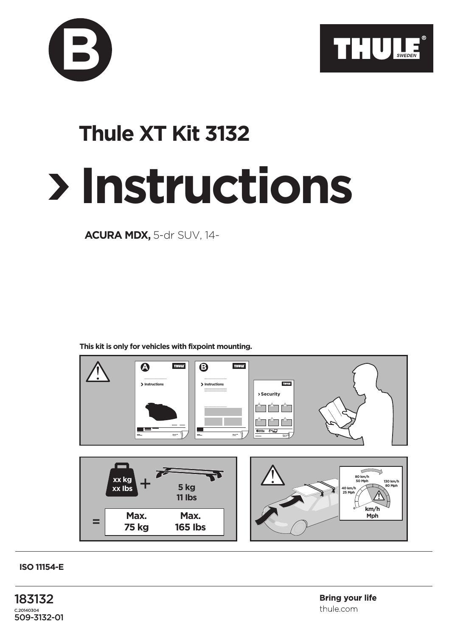



## **Instructions Thule XT Kit 3132**

**ACURA MDX,** 5-dr SUV, 14-

**This kit is only for vehicles with fixpoint mounting.**



**ISO 11154-E**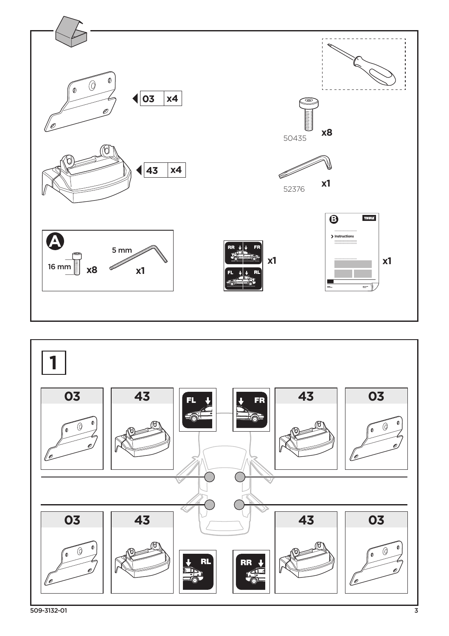

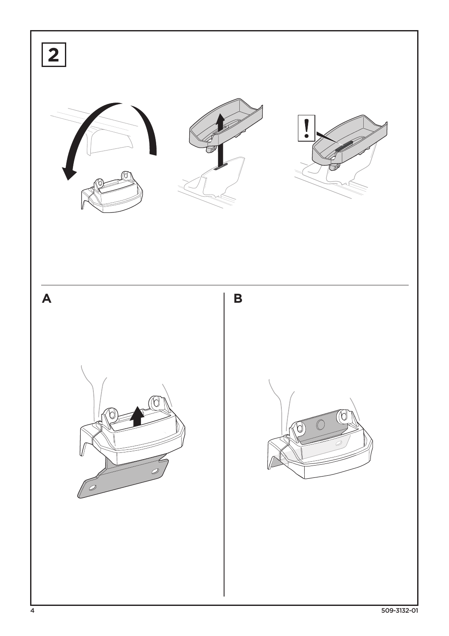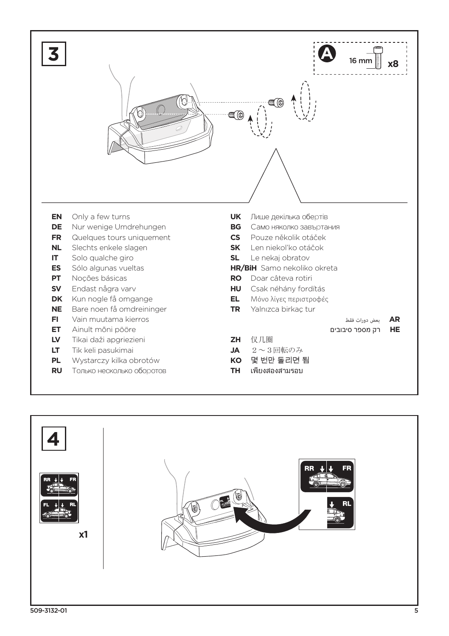

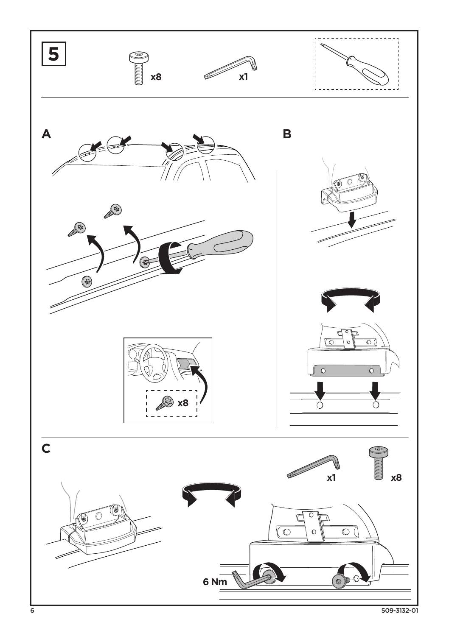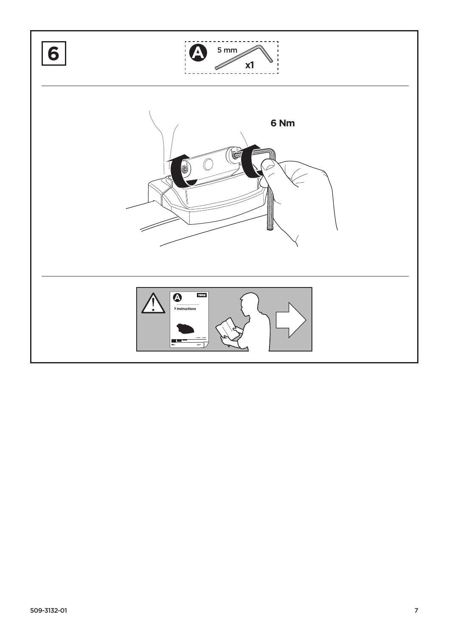